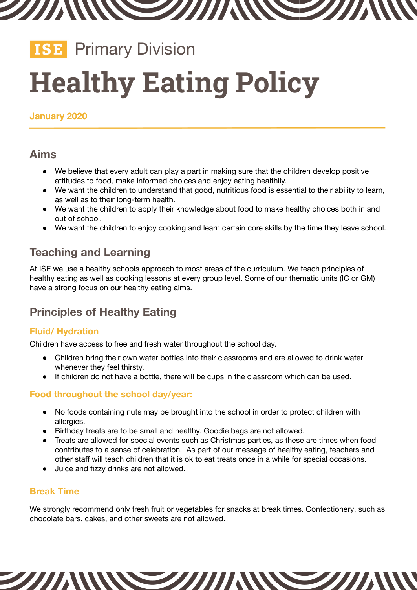

# **ISE** Primary Division **Healthy Eating Policy**

**January 2020**

## **Aims**

- We believe that every adult can play a part in making sure that the children develop positive attitudes to food, make informed choices and enjoy eating healthily.
- We want the children to understand that good, nutritious food is essential to their ability to learn, as well as to their long-term health.
- We want the children to apply their knowledge about food to make healthy choices both in and out of school.
- We want the children to enjoy cooking and learn certain core skills by the time they leave school.

# **Teaching and Learning**

At ISE we use a healthy schools approach to most areas of the curriculum. We teach principles of healthy eating as well as cooking lessons at every group level. Some of our thematic units (IC or GM) have a strong focus on our healthy eating aims.

# **Principles of Healthy Eating**

## **Fluid/ Hydration**

Children have access to free and fresh water throughout the school day.

- Children bring their own water bottles into their classrooms and are allowed to drink water whenever they feel thirsty.
- If children do not have a bottle, there will be cups in the classroom which can be used.

#### **Food throughout the school day/year:**

- No foods containing nuts may be brought into the school in order to protect children with allergies.
- Birthday treats are to be small and healthy. Goodie bags are not allowed.
- Treats are allowed for special events such as Christmas parties, as these are times when food contributes to a sense of celebration. As part of our message of healthy eating, teachers and other staff will teach children that it is ok to eat treats once in a while for special occasions.
- Juice and fizzy drinks are not allowed.

## **Break Time**

We strongly recommend only fresh fruit or vegetables for snacks at break times. Confectionery, such as chocolate bars, cakes, and other sweets are not allowed.

277 TIN

///W